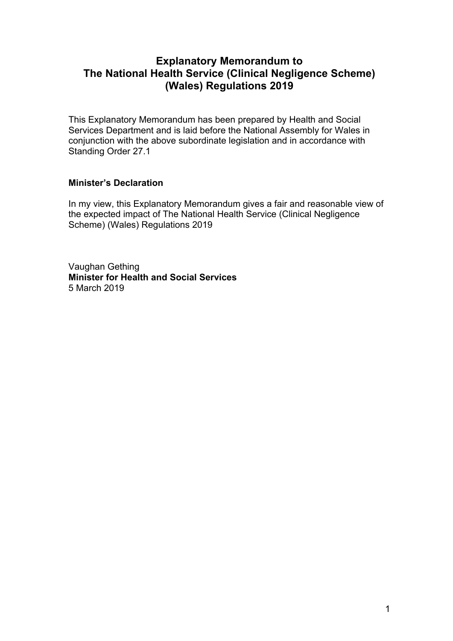# **Explanatory Memorandum to The National Health Service (Clinical Negligence Scheme) (Wales) Regulations 2019**

This Explanatory Memorandum has been prepared by Health and Social Services Department and is laid before the National Assembly for Wales in conjunction with the above subordinate legislation and in accordance with Standing Order 27.1

## **Minister's Declaration**

In my view, this Explanatory Memorandum gives a fair and reasonable view of the expected impact of The National Health Service (Clinical Negligence Scheme) (Wales) Regulations 2019

Vaughan Gething **Minister for Health and Social Services** 5 March 2019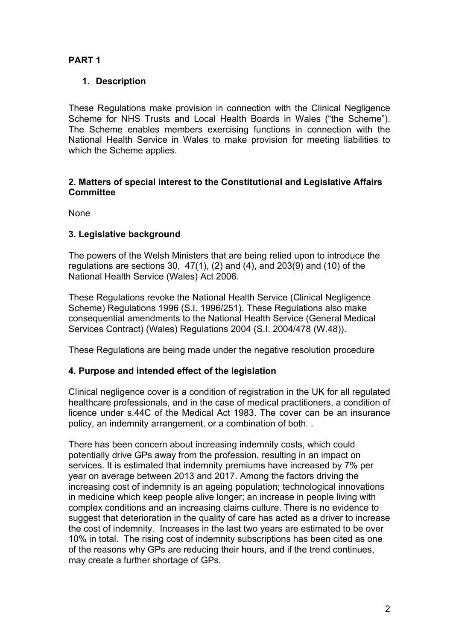## **PART 1**

## **1. Description**

These Regulations make provision in connection with the Clinical Negligence Scheme for NHS Trusts and Local Health Boards in Wales ("the Scheme"). The Scheme enables members exercising functions in connection with the National Health Service in Wales to make provision for meeting liabilities to which the Scheme applies.

#### **2. Matters of special interest to the Constitutional and Legislative Affairs Committee**

None

## **3. Legislative background**

The powers of the Welsh Ministers that are being relied upon to introduce the regulations are sections 30,  $47(1)$ ,  $(2)$  and  $(4)$ , and  $203(9)$  and  $(10)$  of the National Health Service (Wales) Act 2006.

These Regulations revoke the National Health Service (Clinical Negligence Scheme) Regulations 1996 (S.I. 1996/251). These Regulations also make consequential amendments to the National Health Service (General Medical Services Contract) (Wales) Regulations 2004 (S.I. 2004/478 (W.48)).

These Regulations are being made under the negative resolution procedure

## **4. Purpose and intended effect of the legislation**

Clinical negligence cover is a condition of registration in the UK for all regulated healthcare professionals, and in the case of medical practitioners, a condition of licence under s.44C of the Medical Act 1983. The cover can be an insurance policy, an indemnity arrangement, or a combination of both*. .*

There has been concern about increasing indemnity costs, which could potentially drive GPs away from the profession, resulting in an impact on services. It is estimated that indemnity premiums have increased by 7% per year on average between 2013 and 2017. Among the factors driving the increasing cost of indemnity is an ageing population; technological innovations in medicine which keep people alive longer; an increase in people living with complex conditions and an increasing claims culture. There is no evidence to suggest that deterioration in the quality of care has acted as a driver to increase the cost of indemnity. Increases in the last two years are estimated to be over 10% in total. The rising cost of indemnity subscriptions has been cited as one of the reasons why GPs are reducing their hours, and if the trend continues, may create a further shortage of GPs.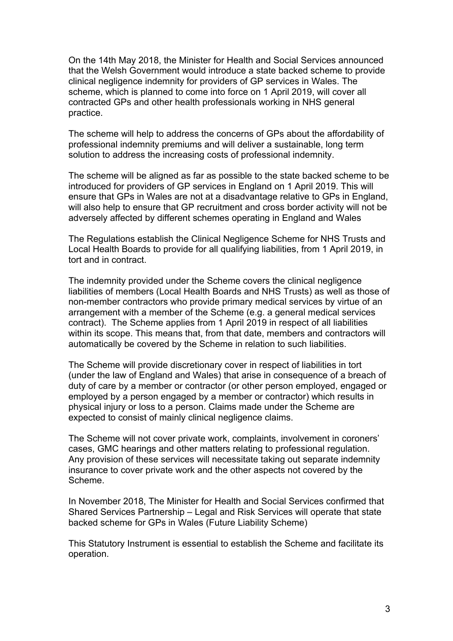On the 14th May 2018, the Minister for Health and Social Services announced that the Welsh Government would introduce a state backed scheme to provide clinical negligence indemnity for providers of GP services in Wales. The scheme, which is planned to come into force on 1 April 2019, will cover all contracted GPs and other health professionals working in NHS general practice.

The scheme will help to address the concerns of GPs about the affordability of professional indemnity premiums and will deliver a sustainable, long term solution to address the increasing costs of professional indemnity.

The scheme will be aligned as far as possible to the state backed scheme to be introduced for providers of GP services in England on 1 April 2019. This will ensure that GPs in Wales are not at a disadvantage relative to GPs in England, will also help to ensure that GP recruitment and cross border activity will not be adversely affected by different schemes operating in England and Wales

The Regulations establish the Clinical Negligence Scheme for NHS Trusts and Local Health Boards to provide for all qualifying liabilities, from 1 April 2019, in tort and in contract.

The indemnity provided under the Scheme covers the clinical negligence liabilities of members (Local Health Boards and NHS Trusts) as well as those of non-member contractors who provide primary medical services by virtue of an arrangement with a member of the Scheme (e.g. a general medical services contract). The Scheme applies from 1 April 2019 in respect of all liabilities within its scope. This means that, from that date, members and contractors will automatically be covered by the Scheme in relation to such liabilities.

The Scheme will provide discretionary cover in respect of liabilities in tort (under the law of England and Wales) that arise in consequence of a breach of duty of care by a member or contractor (or other person employed, engaged or employed by a person engaged by a member or contractor) which results in physical injury or loss to a person. Claims made under the Scheme are expected to consist of mainly clinical negligence claims.

The Scheme will not cover private work, complaints, involvement in coroners' cases, GMC hearings and other matters relating to professional regulation. Any provision of these services will necessitate taking out separate indemnity insurance to cover private work and the other aspects not covered by the Scheme.

In November 2018, The Minister for Health and Social Services confirmed that Shared Services Partnership – Legal and Risk Services will operate that state backed scheme for GPs in Wales (Future Liability Scheme)

This Statutory Instrument is essential to establish the Scheme and facilitate its operation.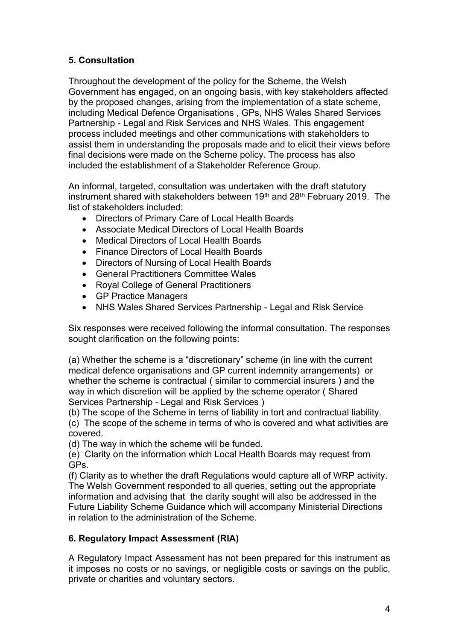## **5. Consultation**

Throughout the development of the policy for the Scheme, the Welsh Government has engaged, on an ongoing basis, with key stakeholders affected by the proposed changes, arising from the implementation of a state scheme, including Medical Defence Organisations , GPs, NHS Wales Shared Services Partnership - Legal and Risk Services and NHS Wales. This engagement process included meetings and other communications with stakeholders to assist them in understanding the proposals made and to elicit their views before final decisions were made on the Scheme policy. The process has also included the establishment of a Stakeholder Reference Group.

An informal, targeted, consultation was undertaken with the draft statutory instrument shared with stakeholders between 19<sup>th</sup> and 28<sup>th</sup> February 2019. The list of stakeholders included:

- Directors of Primary Care of Local Health Boards
- Associate Medical Directors of Local Health Boards
- Medical Directors of Local Health Boards
- Finance Directors of Local Health Boards
- Directors of Nursing of Local Health Boards
- General Practitioners Committee Wales
- Royal College of General Practitioners
- GP Practice Managers
- NHS Wales Shared Services Partnership Legal and Risk Service

Six responses were received following the informal consultation. The responses sought clarification on the following points:

(a) Whether the scheme is a "discretionary" scheme (in line with the current medical defence organisations and GP current indemnity arrangements) or whether the scheme is contractual ( similar to commercial insurers ) and the way in which discretion will be applied by the scheme operator ( Shared Services Partnership - Legal and Risk Services )

(b) The scope of the Scheme in terns of liability in tort and contractual liability.

(c) The scope of the scheme in terms of who is covered and what activities are covered.

(d) The way in which the scheme will be funded.

(e) Clarity on the information which Local Health Boards may request from GPs.

(f) Clarity as to whether the draft Regulations would capture all of WRP activity. The Welsh Government responded to all queries, setting out the appropriate information and advising that the clarity sought will also be addressed in the Future Liability Scheme Guidance which will accompany Ministerial Directions in relation to the administration of the Scheme.

## **6. Regulatory Impact Assessment (RIA)**

A Regulatory Impact Assessment has not been prepared for this instrument as it imposes no costs or no savings, or negligible costs or savings on the public, private or charities and voluntary sectors.